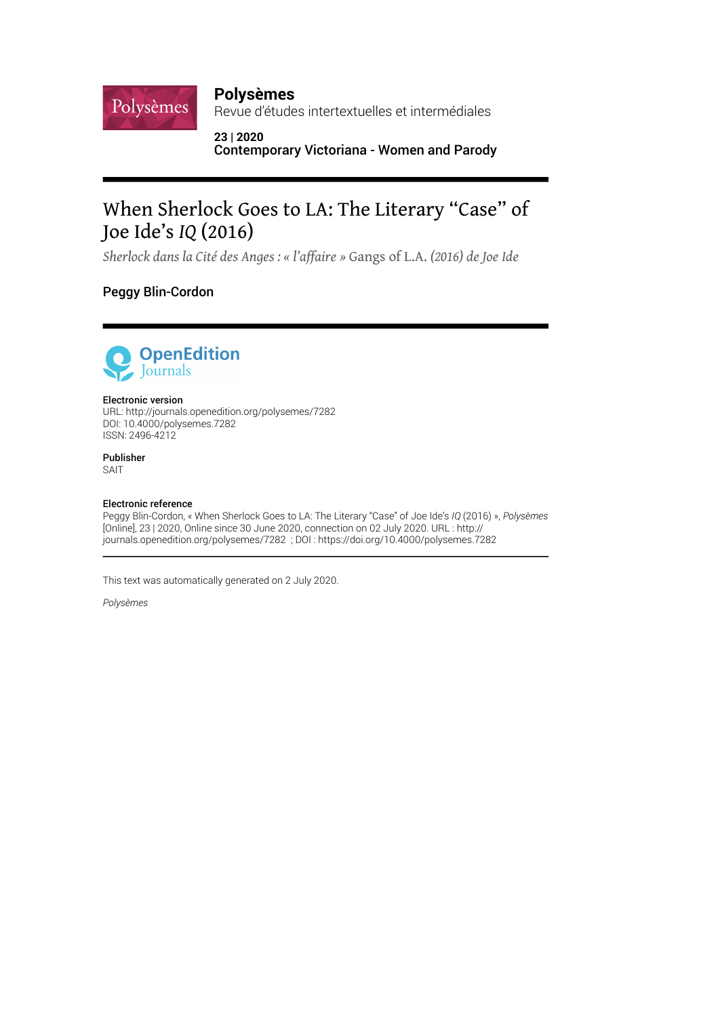### **Polysèmes**

Revue d'études intertextuelles et intermédiales

**23 | 2020** Contemporary Victoriana - Women and Parody

# When Sherlock Goes to LA: The Literary "Case" of Joe Ide's *IQ* (2016)

*Sherlock dans la Cité des Anges : « l'affaire »* Gangs of L.A. *(2016) de Joe Ide*

### Peggy Blin-Cordon

Polysèmes



#### Electronic version

URL:<http://journals.openedition.org/polysemes/7282> DOI: 10.4000/polysemes.7282 ISSN: 2496-4212

Publisher SAIT

#### Electronic reference

Peggy Blin-Cordon, « When Sherlock Goes to LA: The Literary "Case" of Joe Ide's *IQ* (2016) », *Polysèmes* [Online], 23 | 2020, Online since 30 June 2020, connection on 02 July 2020. URL : http:// journals.openedition.org/polysemes/7282 ; DOI : https://doi.org/10.4000/polysemes.7282

This text was automatically generated on 2 July 2020.

*Polysèmes*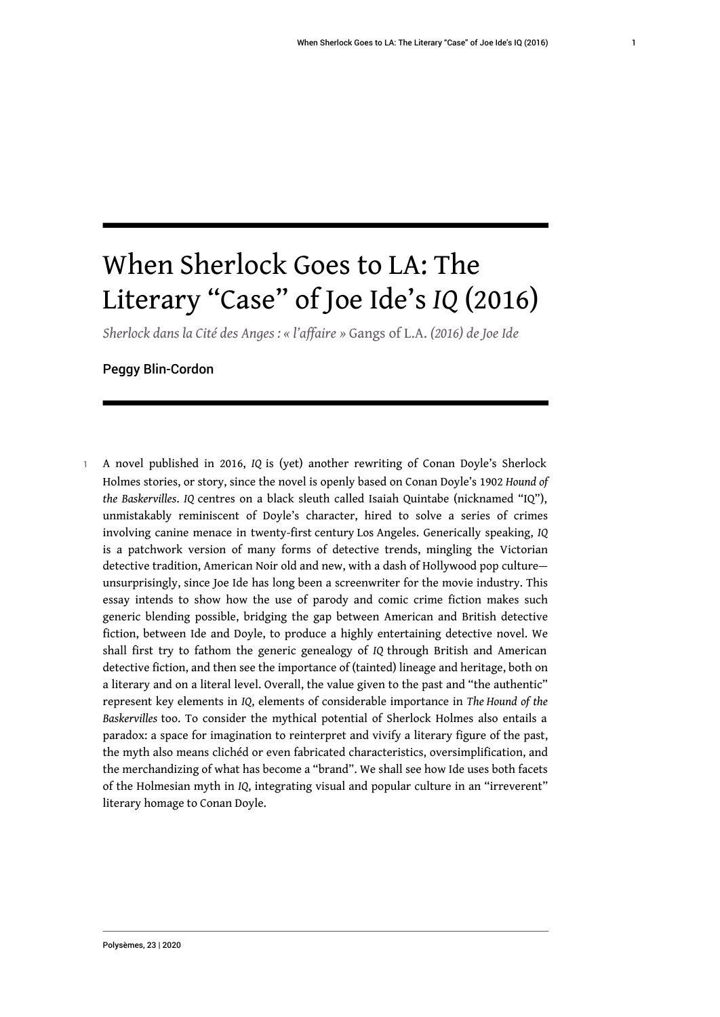# When Sherlock Goes to LA: The Literary "Case" of Joe Ide's *IQ* (2016)

*Sherlock dans la Cité des Anges : « l'affaire »* Gangs of L.A. *(2016) de Joe Ide*

#### Peggy Blin-Cordon

<sup>1</sup>A novel published in 2016, *IQ* is (yet) another rewriting of Conan Doyle's Sherlock Holmes stories, or story, since the novel is openly based on Conan Doyle's 1902 *Hound of the Baskervilles*. *IQ* centres on a black sleuth called Isaiah Quintabe (nicknamed "IQ"), unmistakably reminiscent of Doyle's character, hired to solve a series of crimes involving canine menace in twenty-first century Los Angeles. Generically speaking, *IQ* is a patchwork version of many forms of detective trends, mingling the Victorian detective tradition, American Noir old and new, with a dash of Hollywood pop culture unsurprisingly, since Joe Ide has long been a screenwriter for the movie industry. This essay intends to show how the use of parody and comic crime fiction makes such generic blending possible, bridging the gap between American and British detective fiction, between Ide and Doyle, to produce a highly entertaining detective novel. We shall first try to fathom the generic genealogy of *IQ* through British and American detective fiction, and then see the importance of (tainted) lineage and heritage, both on a literary and on a literal level. Overall, the value given to the past and "the authentic" represent key elements in *IQ*, elements of considerable importance in *The Hound of the Baskervilles* too. To consider the mythical potential of Sherlock Holmes also entails a paradox: a space for imagination to reinterpret and vivify a literary figure of the past, the myth also means clichéd or even fabricated characteristics, oversimplification, and the merchandizing of what has become a "brand". We shall see how Ide uses both facets of the Holmesian myth in *IQ*, integrating visual and popular culture in an "irreverent" literary homage to Conan Doyle.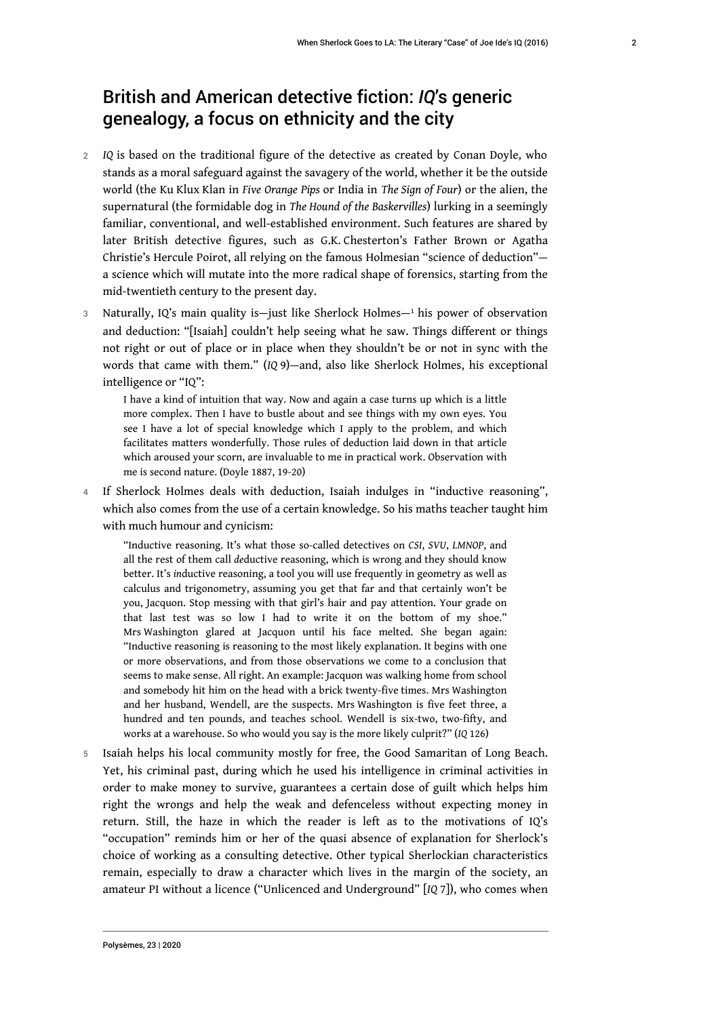# British and American detective fiction: *IQ*'s generic genealogy, a focus on ethnicity and the city

- <sup>2</sup>*IQ* is based on the traditional figure of the detective as created by Conan Doyle, who stands as a moral safeguard against the savagery of the world, whether it be the outside world (the Ku Klux Klan in *Five Orange Pips* or India in *The Sign of Four*) or the alien, the supernatural (the formidable dog in *The Hound of the Baskervilles*) lurking in a seemingly familiar, conventional, and well-established environment. Such features are shared by later British detective figures, such as G.K. Chesterton's Father Brown or Agatha Christie's Hercule Poirot, all relying on the famous Holmesian "science of deduction" a science which will mutate into the more radical shape of forensics, starting from the mid-twentieth century to the present day.
- 3 Naturally, IQ's main quality is—just like Sherlock Holmes—1 his power of observation and deduction: "[Isaiah] couldn't help seeing what he saw. Things different or things not right or out of place or in place when they shouldn't be or not in sync with the words that came with them." (*IQ* 9)—and, also like Sherlock Holmes, his exceptional intelligence or "IQ":

I have a kind of intuition that way. Now and again a case turns up which is a little more complex. Then I have to bustle about and see things with my own eyes. You see I have a lot of special knowledge which I apply to the problem, and which facilitates matters wonderfully. Those rules of deduction laid down in that article which aroused your scorn, are invaluable to me in practical work. Observation with me is second nature. (Doyle 1887, 19-20)

4 If Sherlock Holmes deals with deduction, Isaiah indulges in "inductive reasoning", which also comes from the use of a certain knowledge. So his maths teacher taught him with much humour and cynicism:

"Inductive reasoning. It's what those so-called detectives on *CSI*, *SVU*, *LMNOP*, and all the rest of them call *de*ductive reasoning, which is wrong and they should know better. It's *in*ductive reasoning, a tool you will use frequently in geometry as well as calculus and trigonometry, assuming you get that far and that certainly won't be you, Jacquon. Stop messing with that girl's hair and pay attention. Your grade on that last test was so low I had to write it on the bottom of my shoe." Mrs Washington glared at Jacquon until his face melted. She began again: "Inductive reasoning is reasoning to the most likely explanation. It begins with one or more observations, and from those observations we come to a conclusion that seems to make sense. All right. An example: Jacquon was walking home from school and somebody hit him on the head with a brick twenty-five times. Mrs Washington and her husband, Wendell, are the suspects. Mrs Washington is five feet three, a hundred and ten pounds, and teaches school. Wendell is six-two, two-fifty, and works at a warehouse. So who would you say is the more likely culprit?" (*IQ* 126)

5 Isaiah helps his local community mostly for free, the Good Samaritan of Long Beach. Yet, his criminal past, during which he used his intelligence in criminal activities in order to make money to survive, guarantees a certain dose of guilt which helps him right the wrongs and help the weak and defenceless without expecting money in return. Still, the haze in which the reader is left as to the motivations of IQ's "occupation" reminds him or her of the quasi absence of explanation for Sherlock's choice of working as a consulting detective. Other typical Sherlockian characteristics remain, especially to draw a character which lives in the margin of the society, an amateur PI without a licence ("Unlicenced and Underground" [*IQ* 7]), who comes when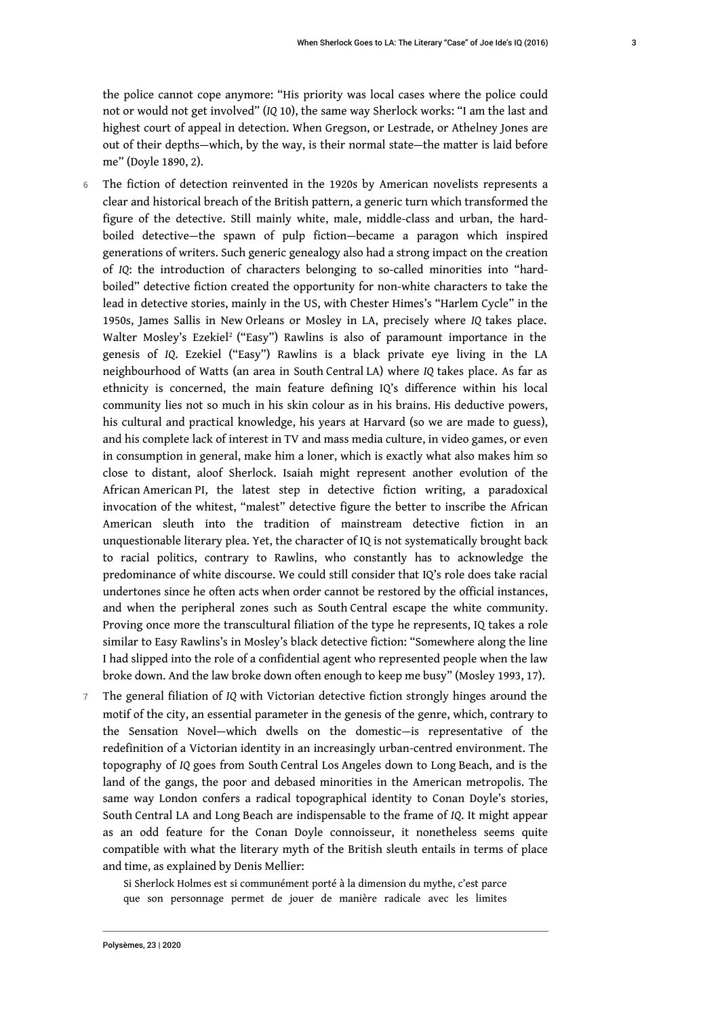the police cannot cope anymore: "His priority was local cases where the police could not or would not get involved" (*IQ* 10), the same way Sherlock works: "I am the last and highest court of appeal in detection. When Gregson, or Lestrade, or Athelney Jones are out of their depths—which, by the way, is their normal state—the matter is laid before me" (Doyle 1890, 2).

- 6 The fiction of detection reinvented in the 1920s by American novelists represents a clear and historical breach of the British pattern, a generic turn which transformed the figure of the detective. Still mainly white, male, middle-class and urban, the hardboiled detective—the spawn of pulp fiction—became a paragon which inspired generations of writers. Such generic genealogy also had a strong impact on the creation of *IQ*: the introduction of characters belonging to so-called minorities into "hardboiled" detective fiction created the opportunity for non-white characters to take the lead in detective stories, mainly in the US, with Chester Himes's "Harlem Cycle" in the 1950s, James Sallis in New Orleans or Mosley in LA, precisely where *IQ* takes place. Walter Mosley's Ezekiel<sup>2</sup> ("Easy") Rawlins is also of paramount importance in the genesis of *IQ*. Ezekiel ("Easy") Rawlins is a black private eye living in the LA neighbourhood of Watts (an area in South Central LA) where *IQ* takes place. As far as ethnicity is concerned, the main feature defining IQ's difference within his local community lies not so much in his skin colour as in his brains. His deductive powers, his cultural and practical knowledge, his years at Harvard (so we are made to guess), and his complete lack of interest in TV and mass media culture, in video games, or even in consumption in general, make him a loner, which is exactly what also makes him so close to distant, aloof Sherlock. Isaiah might represent another evolution of the African American PI, the latest step in detective fiction writing, a paradoxical invocation of the whitest, "malest" detective figure the better to inscribe the African American sleuth into the tradition of mainstream detective fiction in an unquestionable literary plea. Yet, the character of IQ is not systematically brought back to racial politics, contrary to Rawlins, who constantly has to acknowledge the predominance of white discourse. We could still consider that IQ's role does take racial undertones since he often acts when order cannot be restored by the official instances, and when the peripheral zones such as South Central escape the white community. Proving once more the transcultural filiation of the type he represents, IQ takes a role similar to Easy Rawlins's in Mosley's black detective fiction: "Somewhere along the line I had slipped into the role of a confidential agent who represented people when the law broke down. And the law broke down often enough to keep me busy" (Mosley 1993, 17).
- <sup>7</sup>The general filiation of *IQ* with Victorian detective fiction strongly hinges around the motif of the city, an essential parameter in the genesis of the genre, which, contrary to the Sensation Novel—which dwells on the domestic—is representative of the redefinition of a Victorian identity in an increasingly urban-centred environment. The topography of *IQ* goes from South Central Los Angeles down to Long Beach, and is the land of the gangs, the poor and debased minorities in the American metropolis. The same way London confers a radical topographical identity to Conan Doyle's stories, South Central LA and Long Beach are indispensable to the frame of *IQ*. It might appear as an odd feature for the Conan Doyle connoisseur, it nonetheless seems quite compatible with what the literary myth of the British sleuth entails in terms of place and time, as explained by Denis Mellier:

Si Sherlock Holmes est si communément porté à la dimension du mythe, c'est parce que son personnage permet de jouer de manière radicale avec les limites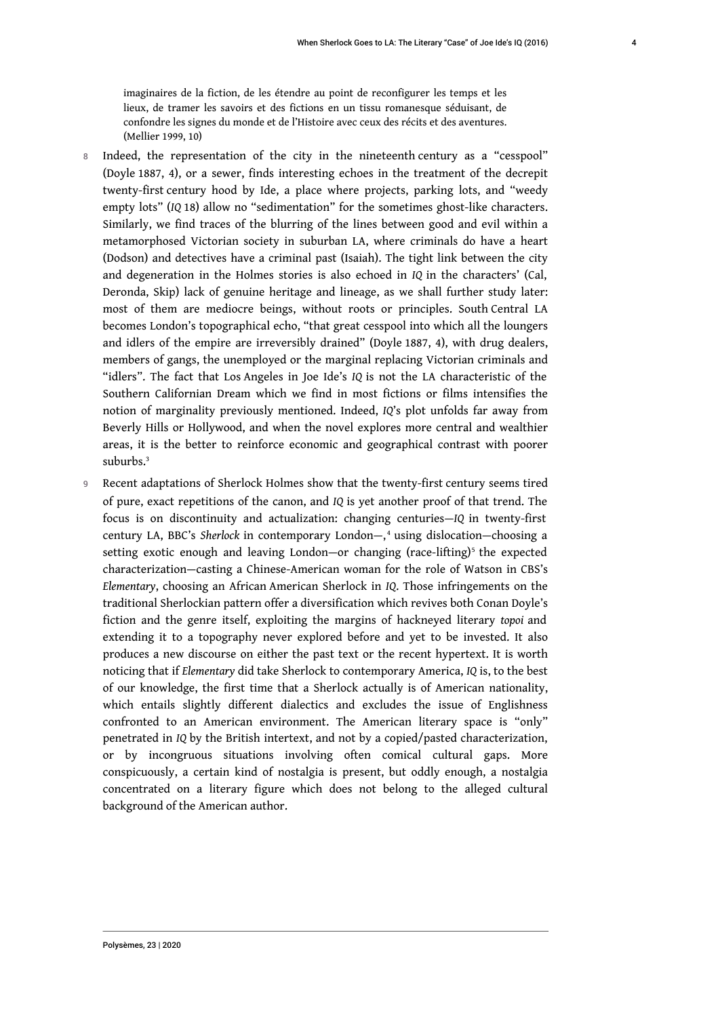imaginaires de la fiction, de les étendre au point de reconfigurer les temps et les lieux, de tramer les savoirs et des fictions en un tissu romanesque séduisant, de confondre les signes du monde et de l'Histoire avec ceux des récits et des aventures. (Mellier 1999, 10)

- 8 Indeed, the representation of the city in the nineteenth century as a "cesspool" (Doyle 1887, 4), or a sewer, finds interesting echoes in the treatment of the decrepit twenty-first century hood by Ide, a place where projects, parking lots, and "weedy empty lots" (*IQ* 18) allow no "sedimentation" for the sometimes ghost-like characters. Similarly, we find traces of the blurring of the lines between good and evil within a metamorphosed Victorian society in suburban LA, where criminals do have a heart (Dodson) and detectives have a criminal past (Isaiah). The tight link between the city and degeneration in the Holmes stories is also echoed in *IQ* in the characters' (Cal, Deronda, Skip) lack of genuine heritage and lineage, as we shall further study later: most of them are mediocre beings, without roots or principles. South Central LA becomes London's topographical echo, "that great cesspool into which all the loungers and idlers of the empire are irreversibly drained" (Doyle 1887, 4), with drug dealers, members of gangs, the unemployed or the marginal replacing Victorian criminals and "idlers". The fact that Los Angeles in Joe Ide's *IQ* is not the LA characteristic of the Southern Californian Dream which we find in most fictions or films intensifies the notion of marginality previously mentioned. Indeed, *IQ*'s plot unfolds far away from Beverly Hills or Hollywood, and when the novel explores more central and wealthier areas, it is the better to reinforce economic and geographical contrast with poorer suburbs.<sup>3</sup>
- 9 Recent adaptations of Sherlock Holmes show that the twenty-first century seems tired of pure, exact repetitions of the canon, and *IQ* is yet another proof of that trend. The focus is on discontinuity and actualization: changing centuries—*IQ* in twenty-first century LA, BBC's *Sherlock* in contemporary London—, <sup>4</sup> using dislocation—choosing a setting exotic enough and leaving London—or changing (race-lifting)<sup>5</sup> the expected characterization—casting a Chinese-American woman for the role of Watson in CBS's *Elementary*, choosing an African American Sherlock in *IQ*. Those infringements on the traditional Sherlockian pattern offer a diversification which revives both Conan Doyle's fiction and the genre itself, exploiting the margins of hackneyed literary *topoi* and extending it to a topography never explored before and yet to be invested. It also produces a new discourse on either the past text or the recent hypertext. It is worth noticing that if *Elementary* did take Sherlock to contemporary America, *IQ* is, to the best of our knowledge, the first time that a Sherlock actually is of American nationality, which entails slightly different dialectics and excludes the issue of Englishness confronted to an American environment. The American literary space is "only" penetrated in *IQ* by the British intertext, and not by a copied/pasted characterization, or by incongruous situations involving often comical cultural gaps. More conspicuously, a certain kind of nostalgia is present, but oddly enough, a nostalgia concentrated on a literary figure which does not belong to the alleged cultural background of the American author.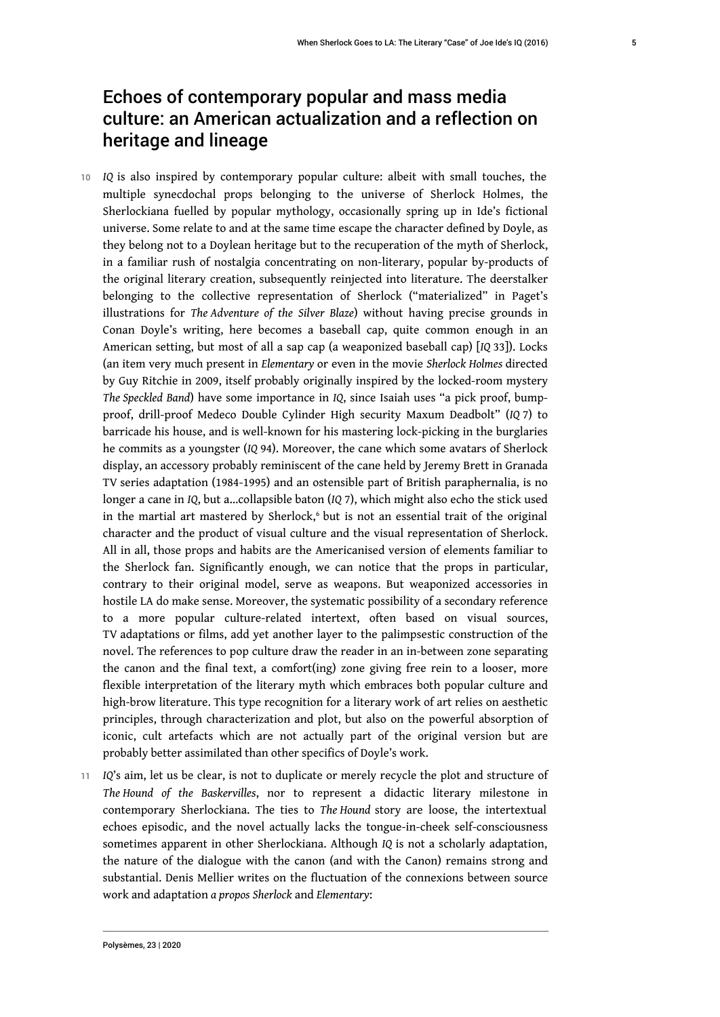# Echoes of contemporary popular and mass media culture: an American actualization and a reflection on heritage and lineage

- <sup>10</sup>*IQ* is also inspired by contemporary popular culture: albeit with small touches, the multiple synecdochal props belonging to the universe of Sherlock Holmes, the Sherlockiana fuelled by popular mythology, occasionally spring up in Ide's fictional universe. Some relate to and at the same time escape the character defined by Doyle, as they belong not to a Doylean heritage but to the recuperation of the myth of Sherlock, in a familiar rush of nostalgia concentrating on non-literary, popular by-products of the original literary creation, subsequently reinjected into literature. The deerstalker belonging to the collective representation of Sherlock ("materialized" in Paget's illustrations for *The Adventure of the Silver Blaze*) without having precise grounds in Conan Doyle's writing, here becomes a baseball cap, quite common enough in an American setting, but most of all a sap cap (a weaponized baseball cap) [*IQ* 33]). Locks (an item very much present in *Elementary* or even in the movie *Sherlock Holmes* directed by Guy Ritchie in 2009, itself probably originally inspired by the locked-room mystery *The Speckled Band*) have some importance in *IQ*, since Isaiah uses "a pick proof, bumpproof, drill-proof Medeco Double Cylinder High security Maxum Deadbolt" (*IQ* 7) to barricade his house, and is well-known for his mastering lock-picking in the burglaries he commits as a youngster (*IQ* 94). Moreover, the cane which some avatars of Sherlock display, an accessory probably reminiscent of the cane held by Jeremy Brett in Granada TV series adaptation (1984-1995) and an ostensible part of British paraphernalia, is no longer a cane in *IQ*, but a…collapsible baton (*IQ* 7), which might also echo the stick used in the martial art mastered by Sherlock,<sup>6</sup> but is not an essential trait of the original character and the product of visual culture and the visual representation of Sherlock. All in all, those props and habits are the Americanised version of elements familiar to the Sherlock fan. Significantly enough, we can notice that the props in particular, contrary to their original model, serve as weapons. But weaponized accessories in hostile LA do make sense. Moreover, the systematic possibility of a secondary reference to a more popular culture-related intertext, often based on visual sources, TV adaptations or films, add yet another layer to the palimpsestic construction of the novel. The references to pop culture draw the reader in an in-between zone separating the canon and the final text, a comfort(ing) zone giving free rein to a looser, more flexible interpretation of the literary myth which embraces both popular culture and high-brow literature. This type recognition for a literary work of art relies on aesthetic principles, through characterization and plot, but also on the powerful absorption of iconic, cult artefacts which are not actually part of the original version but are probably better assimilated than other specifics of Doyle's work.
- <sup>11</sup>*IQ*'s aim, let us be clear, is not to duplicate or merely recycle the plot and structure of *The Hound of the Baskervilles*, nor to represent a didactic literary milestone in contemporary Sherlockiana. The ties to *The Hound* story are loose, the intertextual echoes episodic, and the novel actually lacks the tongue-in-cheek self-consciousness sometimes apparent in other Sherlockiana. Although *IQ* is not a scholarly adaptation, the nature of the dialogue with the canon (and with the Canon) remains strong and substantial. Denis Mellier writes on the fluctuation of the connexions between source work and adaptation *a propos Sherlock* and *Elementary*: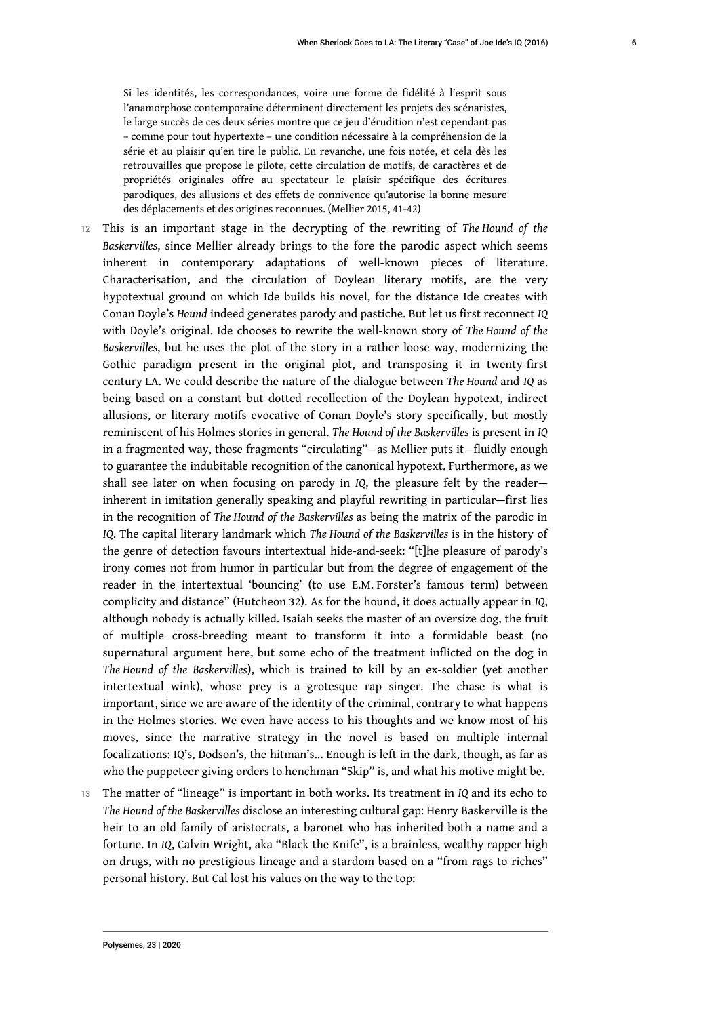Si les identités, les correspondances, voire une forme de fidélité à l'esprit sous l'anamorphose contemporaine déterminent directement les projets des scénaristes, le large succès de ces deux séries montre que ce jeu d'érudition n'est cependant pas – comme pour tout hypertexte – une condition nécessaire à la compréhension de la série et au plaisir qu'en tire le public. En revanche, une fois notée, et cela dès les retrouvailles que propose le pilote, cette circulation de motifs, de caractères et de propriétés originales offre au spectateur le plaisir spécifique des écritures parodiques, des allusions et des effets de connivence qu'autorise la bonne mesure des déplacements et des origines reconnues. (Mellier 2015, 41-42)

- <sup>12</sup>This is an important stage in the decrypting of the rewriting of *The Hound of the Baskervilles*, since Mellier already brings to the fore the parodic aspect which seems inherent in contemporary adaptations of well-known pieces of literature. Characterisation, and the circulation of Doylean literary motifs, are the very hypotextual ground on which Ide builds his novel, for the distance Ide creates with Conan Doyle's *Hound* indeed generates parody and pastiche. But let us first reconnect *IQ* with Doyle's original. Ide chooses to rewrite the well-known story of *The Hound of the Baskervilles*, but he uses the plot of the story in a rather loose way, modernizing the Gothic paradigm present in the original plot, and transposing it in twenty-first century LA. We could describe the nature of the dialogue between *The Hound* and *IQ* as being based on a constant but dotted recollection of the Doylean hypotext, indirect allusions, or literary motifs evocative of Conan Doyle's story specifically, but mostly reminiscent of his Holmes stories in general. *The Hound of the Baskervilles* is present in *IQ* in a fragmented way, those fragments "circulating"—as Mellier puts it—fluidly enough to guarantee the indubitable recognition of the canonical hypotext. Furthermore, as we shall see later on when focusing on parody in *IQ*, the pleasure felt by the reader inherent in imitation generally speaking and playful rewriting in particular—first lies in the recognition of *The Hound of the Baskervilles* as being the matrix of the parodic in *IQ*. The capital literary landmark which *The Hound of the Baskervilles* is in the history of the genre of detection favours intertextual hide-and-seek: "[t]he pleasure of parody's irony comes not from humor in particular but from the degree of engagement of the reader in the intertextual 'bouncing' (to use E.M. Forster's famous term) between complicity and distance" (Hutcheon 32). As for the hound, it does actually appear in *IQ*, although nobody is actually killed. Isaiah seeks the master of an oversize dog, the fruit of multiple cross-breeding meant to transform it into a formidable beast (no supernatural argument here, but some echo of the treatment inflicted on the dog in *The Hound of the Baskervilles*), which is trained to kill by an ex-soldier (yet another intertextual wink), whose prey is a grotesque rap singer. The chase is what is important, since we are aware of the identity of the criminal, contrary to what happens in the Holmes stories. We even have access to his thoughts and we know most of his moves, since the narrative strategy in the novel is based on multiple internal focalizations: IQ's, Dodson's, the hitman's... Enough is left in the dark, though, as far as who the puppeteer giving orders to henchman "Skip" is, and what his motive might be.
- <sup>13</sup>The matter of "lineage" is important in both works. Its treatment in *IQ* and its echo to *The Hound of the Baskervilles* disclose an interesting cultural gap: Henry Baskerville is the heir to an old family of aristocrats, a baronet who has inherited both a name and a fortune. In *IQ*, Calvin Wright, aka "Black the Knife", is a brainless, wealthy rapper high on drugs, with no prestigious lineage and a stardom based on a "from rags to riches" personal history. But Cal lost his values on the way to the top: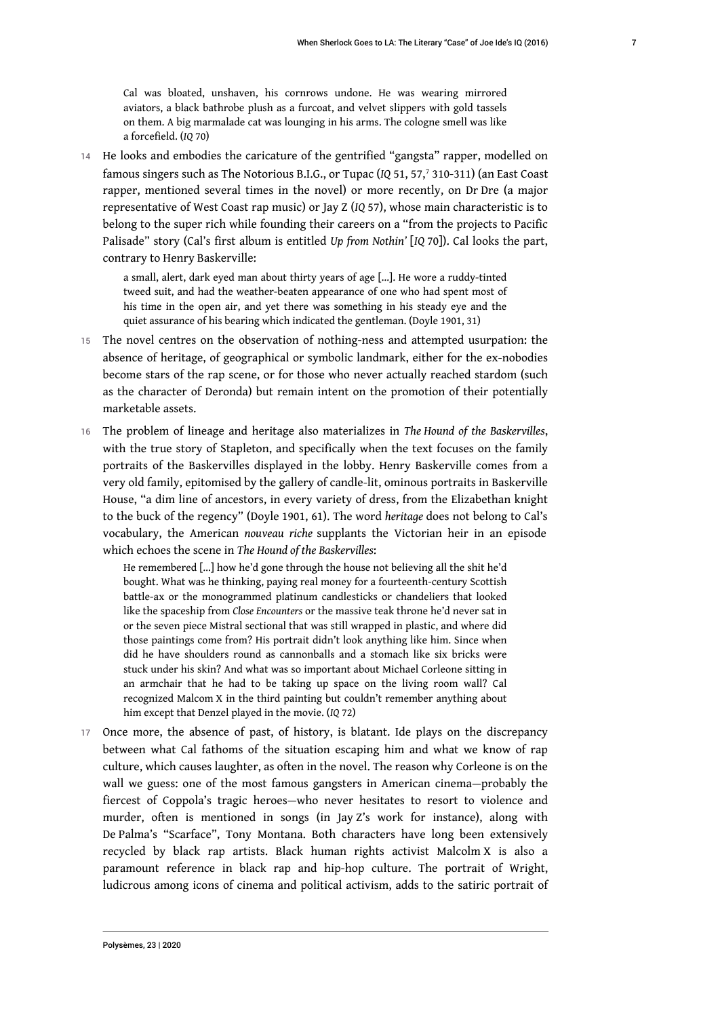Cal was bloated, unshaven, his cornrows undone. He was wearing mirrored aviators, a black bathrobe plush as a furcoat, and velvet slippers with gold tassels on them. A big marmalade cat was lounging in his arms. The cologne smell was like a forcefield. (*IQ* 70)

14 He looks and embodies the caricature of the gentrified "gangsta" rapper, modelled on famous singers such as The Notorious B.I.G., or Tupac (*IQ* 51, 57,<sup>7</sup> 310-311) (an East Coast rapper, mentioned several times in the novel) or more recently, on Dr Dre (a major representative of West Coast rap music) or Jay Z (*IQ* 57), whose main characteristic is to belong to the super rich while founding their careers on a "from the projects to Pacific Palisade" story (Cal's first album is entitled *Up from Nothin'* [*IQ* 70]). Cal looks the part, contrary to Henry Baskerville:

a small, alert, dark eyed man about thirty years of age […]. He wore a ruddy-tinted tweed suit, and had the weather-beaten appearance of one who had spent most of his time in the open air, and yet there was something in his steady eye and the quiet assurance of his bearing which indicated the gentleman. (Doyle 1901, 31)

- 15 The novel centres on the observation of nothing-ness and attempted usurpation: the absence of heritage, of geographical or symbolic landmark, either for the ex-nobodies become stars of the rap scene, or for those who never actually reached stardom (such as the character of Deronda) but remain intent on the promotion of their potentially marketable assets.
- <sup>16</sup>The problem of lineage and heritage also materializes in *The Hound of the Baskervilles*, with the true story of Stapleton, and specifically when the text focuses on the family portraits of the Baskervilles displayed in the lobby. Henry Baskerville comes from a very old family, epitomised by the gallery of candle-lit, ominous portraits in Baskerville House, "a dim line of ancestors, in every variety of dress, from the Elizabethan knight to the buck of the regency" (Doyle 1901, 61). The word *heritage* does not belong to Cal's vocabulary, the American *nouveau riche* supplants the Victorian heir in an episode which echoes the scene in *The Hound of the Baskervilles*:

He remembered […] how he'd gone through the house not believing all the shit he'd bought. What was he thinking, paying real money for a fourteenth-century Scottish battle-ax or the monogrammed platinum candlesticks or chandeliers that looked like the spaceship from *Close Encounters* or the massive teak throne he'd never sat in or the seven piece Mistral sectional that was still wrapped in plastic, and where did those paintings come from? His portrait didn't look anything like him. Since when did he have shoulders round as cannonballs and a stomach like six bricks were stuck under his skin? And what was so important about Michael Corleone sitting in an armchair that he had to be taking up space on the living room wall? Cal recognized Malcom X in the third painting but couldn't remember anything about him except that Denzel played in the movie. (*IQ* 72)

17 Once more, the absence of past, of history, is blatant. Ide plays on the discrepancy between what Cal fathoms of the situation escaping him and what we know of rap culture, which causes laughter, as often in the novel. The reason why Corleone is on the wall we guess: one of the most famous gangsters in American cinema—probably the fiercest of Coppola's tragic heroes—who never hesitates to resort to violence and murder, often is mentioned in songs (in Jay Z's work for instance), along with De Palma's "Scarface", Tony Montana. Both characters have long been extensively recycled by black rap artists. Black human rights activist Malcolm X is also a paramount reference in black rap and hip-hop culture. The portrait of Wright, ludicrous among icons of cinema and political activism, adds to the satiric portrait of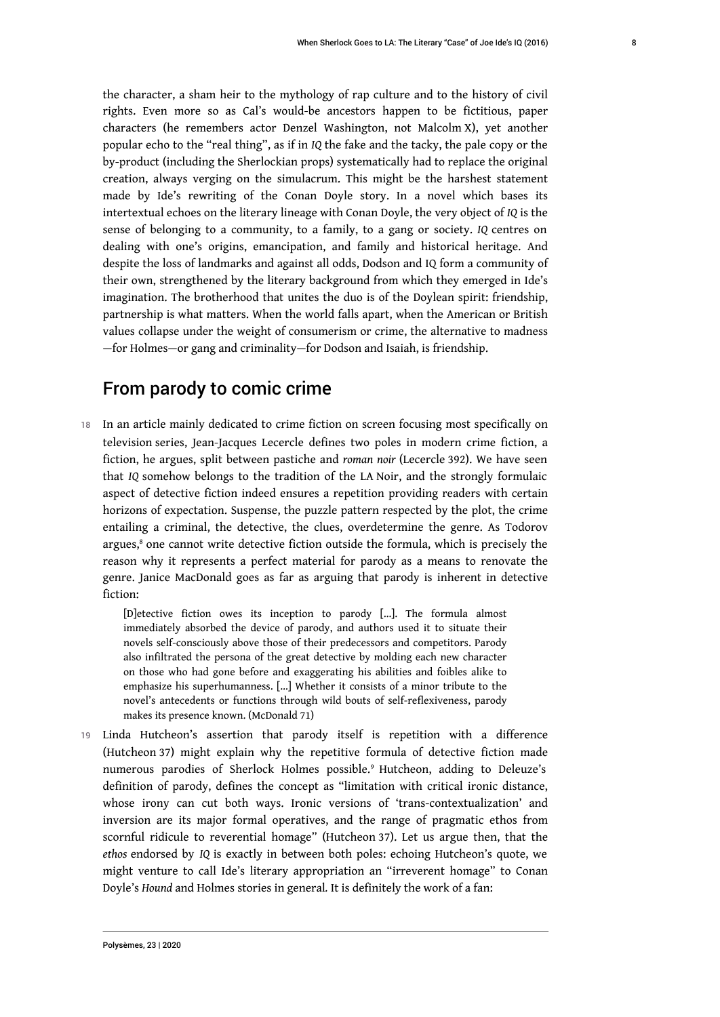the character, a sham heir to the mythology of rap culture and to the history of civil rights. Even more so as Cal's would-be ancestors happen to be fictitious, paper characters (he remembers actor Denzel Washington, not Malcolm X), yet another popular echo to the "real thing", as if in *IQ* the fake and the tacky, the pale copy or the by-product (including the Sherlockian props) systematically had to replace the original creation, always verging on the simulacrum. This might be the harshest statement made by Ide's rewriting of the Conan Doyle story. In a novel which bases its intertextual echoes on the literary lineage with Conan Doyle, the very object of *IQ* is the sense of belonging to a community, to a family, to a gang or society. *IQ* centres on dealing with one's origins, emancipation, and family and historical heritage. And despite the loss of landmarks and against all odds, Dodson and IQ form a community of their own, strengthened by the literary background from which they emerged in Ide's imagination. The brotherhood that unites the duo is of the Doylean spirit: friendship, partnership is what matters. When the world falls apart, when the American or British values collapse under the weight of consumerism or crime, the alternative to madness —for Holmes—or gang and criminality—for Dodson and Isaiah, is friendship.

## From parody to comic crime

18 In an article mainly dedicated to crime fiction on screen focusing most specifically on television series, Jean-Jacques Lecercle defines two poles in modern crime fiction, a fiction, he argues, split between pastiche and *roman noir* (Lecercle 392). We have seen that *IQ* somehow belongs to the tradition of the LA Noir, and the strongly formulaic aspect of detective fiction indeed ensures a repetition providing readers with certain horizons of expectation. Suspense, the puzzle pattern respected by the plot, the crime entailing a criminal, the detective, the clues, overdetermine the genre. As Todorov argues,<sup>8</sup> one cannot write detective fiction outside the formula, which is precisely the reason why it represents a perfect material for parody as a means to renovate the genre. Janice MacDonald goes as far as arguing that parody is inherent in detective fiction:

[D]etective fiction owes its inception to parody […]. The formula almost immediately absorbed the device of parody, and authors used it to situate their novels self-consciously above those of their predecessors and competitors. Parody also infiltrated the persona of the great detective by molding each new character on those who had gone before and exaggerating his abilities and foibles alike to emphasize his superhumanness. […] Whether it consists of a minor tribute to the novel's antecedents or functions through wild bouts of self-reflexiveness, parody makes its presence known. (McDonald 71)

19 Linda Hutcheon's assertion that parody itself is repetition with a difference (Hutcheon 37) might explain why the repetitive formula of detective fiction made numerous parodies of Sherlock Holmes possible.<sup>9</sup> Hutcheon, adding to Deleuze's definition of parody, defines the concept as "limitation with critical ironic distance, whose irony can cut both ways. Ironic versions of 'trans-contextualization' and inversion are its major formal operatives, and the range of pragmatic ethos from scornful ridicule to reverential homage" (Hutcheon 37). Let us argue then, that the *ethos* endorsed by *IQ* is exactly in between both poles: echoing Hutcheon's quote, we might venture to call Ide's literary appropriation an "irreverent homage" to Conan Doyle's *Hound* and Holmes stories in general*.* It is definitely the work of a fan: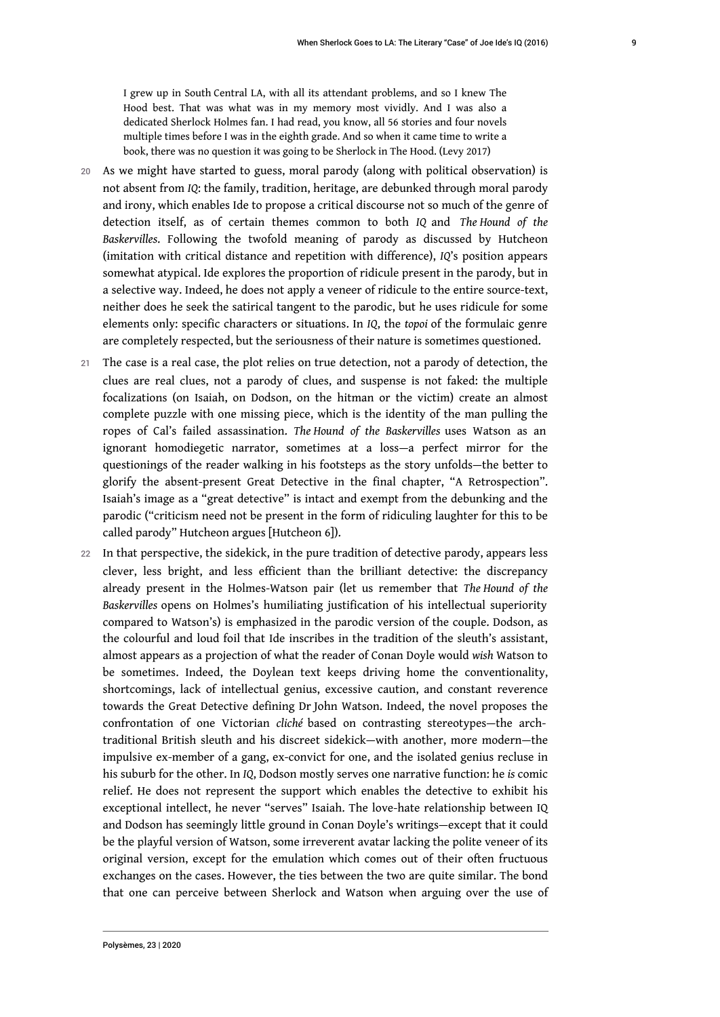I grew up in South Central LA, with all its attendant problems, and so I knew The Hood best. That was what was in my memory most vividly. And I was also a dedicated Sherlock Holmes fan. I had read, you know, all 56 stories and four novels multiple times before I was in the eighth grade. And so when it came time to write a book, there was no question it was going to be Sherlock in The Hood. (Levy 2017)

- 20 As we might have started to guess, moral parody (along with political observation) is not absent from *IQ*: the family, tradition, heritage, are debunked through moral parody and irony, which enables Ide to propose a critical discourse not so much of the genre of detection itself, as of certain themes common to both *IQ* and *The Hound of the Baskervilles*. Following the twofold meaning of parody as discussed by Hutcheon (imitation with critical distance and repetition with difference), *IQ*'s position appears somewhat atypical. Ide explores the proportion of ridicule present in the parody, but in a selective way. Indeed, he does not apply a veneer of ridicule to the entire source-text, neither does he seek the satirical tangent to the parodic, but he uses ridicule for some elements only: specific characters or situations. In *IQ*, the *topoi* of the formulaic genre are completely respected, but the seriousness of their nature is sometimes questioned.
- 21 The case is a real case, the plot relies on true detection, not a parody of detection, the clues are real clues, not a parody of clues, and suspense is not faked: the multiple focalizations (on Isaiah, on Dodson, on the hitman or the victim) create an almost complete puzzle with one missing piece, which is the identity of the man pulling the ropes of Cal's failed assassination. *The Hound of the Baskervilles* uses Watson as an ignorant homodiegetic narrator, sometimes at a loss—a perfect mirror for the questionings of the reader walking in his footsteps as the story unfolds—the better to glorify the absent-present Great Detective in the final chapter, "A Retrospection". Isaiah's image as a "great detective" is intact and exempt from the debunking and the parodic ("criticism need not be present in the form of ridiculing laughter for this to be called parody" Hutcheon argues [Hutcheon 6]).
- 22 In that perspective, the sidekick, in the pure tradition of detective parody, appears less clever, less bright, and less efficient than the brilliant detective: the discrepancy already present in the Holmes-Watson pair (let us remember that *The Hound of the Baskervilles* opens on Holmes's humiliating justification of his intellectual superiority compared to Watson's) is emphasized in the parodic version of the couple. Dodson, as the colourful and loud foil that Ide inscribes in the tradition of the sleuth's assistant, almost appears as a projection of what the reader of Conan Doyle would *wish* Watson to be sometimes. Indeed, the Doylean text keeps driving home the conventionality, shortcomings, lack of intellectual genius, excessive caution, and constant reverence towards the Great Detective defining Dr John Watson. Indeed, the novel proposes the confrontation of one Victorian *cliché* based on contrasting stereotypes—the archtraditional British sleuth and his discreet sidekick—with another, more modern—the impulsive ex-member of a gang, ex-convict for one, and the isolated genius recluse in his suburb for the other. In *IQ*, Dodson mostly serves one narrative function: he *is* comic relief. He does not represent the support which enables the detective to exhibit his exceptional intellect, he never "serves" Isaiah. The love-hate relationship between IQ and Dodson has seemingly little ground in Conan Doyle's writings—except that it could be the playful version of Watson, some irreverent avatar lacking the polite veneer of its original version, except for the emulation which comes out of their often fructuous exchanges on the cases. However, the ties between the two are quite similar. The bond that one can perceive between Sherlock and Watson when arguing over the use of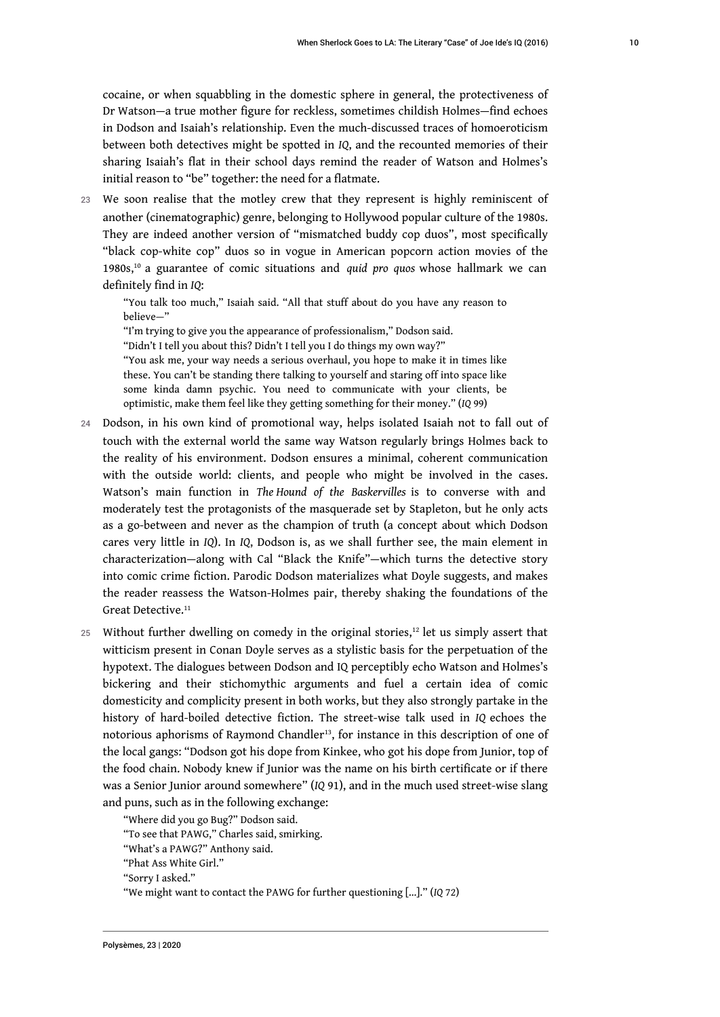cocaine, or when squabbling in the domestic sphere in general, the protectiveness of Dr Watson—a true mother figure for reckless, sometimes childish Holmes—find echoes in Dodson and Isaiah's relationship. Even the much-discussed traces of homoeroticism between both detectives might be spotted in *IQ*, and the recounted memories of their sharing Isaiah's flat in their school days remind the reader of Watson and Holmes's initial reason to "be" together: the need for a flatmate.

23 We soon realise that the motley crew that they represent is highly reminiscent of another (cinematographic) genre, belonging to Hollywood popular culture of the 1980s. They are indeed another version of "mismatched buddy cop duos", most specifically "black cop-white cop" duos so in vogue in American popcorn action movies of the 1980s,<sup>10</sup> a guarantee of comic situations and *quid pro quos* whose hallmark we can definitely find in *IQ*:

"You talk too much," Isaiah said. "All that stuff about do you have any reason to believe—"

"I'm trying to give you the appearance of professionalism," Dodson said.

"Didn't I tell you about this? Didn't I tell you I do things my own way?"

"You ask me, your way needs a serious overhaul, you hope to make it in times like these. You can't be standing there talking to yourself and staring off into space like some kinda damn psychic. You need to communicate with your clients, be optimistic, make them feel like they getting something for their money." (*IQ* 99)

- 24 Dodson, in his own kind of promotional way, helps isolated Isaiah not to fall out of touch with the external world the same way Watson regularly brings Holmes back to the reality of his environment. Dodson ensures a minimal, coherent communication with the outside world: clients, and people who might be involved in the cases. Watson's main function in *The Hound of the Baskervilles* is to converse with and moderately test the protagonists of the masquerade set by Stapleton, but he only acts as a go-between and never as the champion of truth (a concept about which Dodson cares very little in *IQ*). In *IQ*, Dodson is, as we shall further see, the main element in characterization—along with Cal "Black the Knife"—which turns the detective story into comic crime fiction. Parodic Dodson materializes what Doyle suggests, and makes the reader reassess the Watson-Holmes pair, thereby shaking the foundations of the Great Detective.<sup>11</sup>
- 25 Without further dwelling on comedy in the original stories, $12$  let us simply assert that witticism present in Conan Doyle serves as a stylistic basis for the perpetuation of the hypotext. The dialogues between Dodson and IQ perceptibly echo Watson and Holmes's bickering and their stichomythic arguments and fuel a certain idea of comic domesticity and complicity present in both works, but they also strongly partake in the history of hard-boiled detective fiction. The street-wise talk used in *IQ* echoes the notorious aphorisms of Raymond Chandler<sup>13</sup>, for instance in this description of one of the local gangs: "Dodson got his dope from Kinkee, who got his dope from Junior, top of the food chain. Nobody knew if Junior was the name on his birth certificate or if there was a Senior Junior around somewhere" (*IQ* 91), and in the much used street-wise slang and puns, such as in the following exchange:

"Where did you go Bug?" Dodson said.

"To see that PAWG," Charles said, smirking.

"What's a PAWG?" Anthony said.

"Phat Ass White Girl."

"Sorry I asked."

<sup>&</sup>quot;We might want to contact the PAWG for further questioning […]." (*IQ* 72)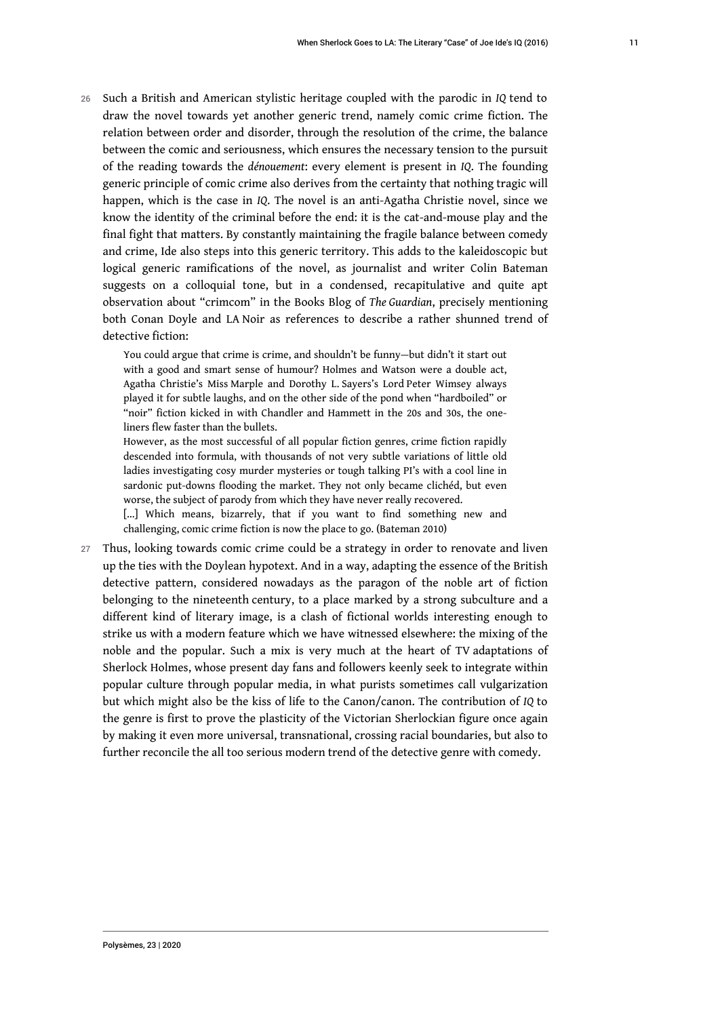<sup>26</sup>Such a British and American stylistic heritage coupled with the parodic in *IQ* tend to draw the novel towards yet another generic trend, namely comic crime fiction. The relation between order and disorder, through the resolution of the crime, the balance between the comic and seriousness, which ensures the necessary tension to the pursuit of the reading towards the *dénouement*: every element is present in *IQ*. The founding generic principle of comic crime also derives from the certainty that nothing tragic will happen, which is the case in *IQ*. The novel is an anti-Agatha Christie novel, since we know the identity of the criminal before the end: it is the cat-and-mouse play and the final fight that matters. By constantly maintaining the fragile balance between comedy and crime, Ide also steps into this generic territory. This adds to the kaleidoscopic but logical generic ramifications of the novel, as journalist and writer Colin Bateman suggests on a colloquial tone, but in a condensed, recapitulative and quite apt observation about "crimcom" in the Books Blog of *The Guardian*, precisely mentioning both Conan Doyle and LA Noir as references to describe a rather shunned trend of detective fiction:

You could argue that crime is crime, and shouldn't be funny—but didn't it start out with a good and smart sense of humour? Holmes and Watson were a double act, Agatha Christie's Miss Marple and Dorothy L. Sayers's Lord Peter Wimsey always played it for subtle laughs, and on the other side of the pond when "hardboiled" or "noir" fiction kicked in with Chandler and Hammett in the 20s and 30s, the oneliners flew faster than the bullets.

However, as the most successful of all popular fiction genres, crime fiction rapidly descended into formula, with thousands of not very subtle variations of little old ladies investigating cosy murder mysteries or tough talking PI's with a cool line in sardonic put-downs flooding the market. They not only became clichéd, but even worse, the subject of parody from which they have never really recovered.

[...] Which means, bizarrely, that if you want to find something new and challenging, comic crime fiction is now the place to go. (Bateman 2010)

27 Thus, looking towards comic crime could be a strategy in order to renovate and liven up the ties with the Doylean hypotext. And in a way, adapting the essence of the British detective pattern, considered nowadays as the paragon of the noble art of fiction belonging to the nineteenth century, to a place marked by a strong subculture and a different kind of literary image, is a clash of fictional worlds interesting enough to strike us with a modern feature which we have witnessed elsewhere: the mixing of the noble and the popular. Such a mix is very much at the heart of TV adaptations of Sherlock Holmes, whose present day fans and followers keenly seek to integrate within popular culture through popular media, in what purists sometimes call vulgarization but which might also be the kiss of life to the Canon/canon. The contribution of *IQ* to the genre is first to prove the plasticity of the Victorian Sherlockian figure once again by making it even more universal, transnational, crossing racial boundaries, but also to further reconcile the all too serious modern trend of the detective genre with comedy.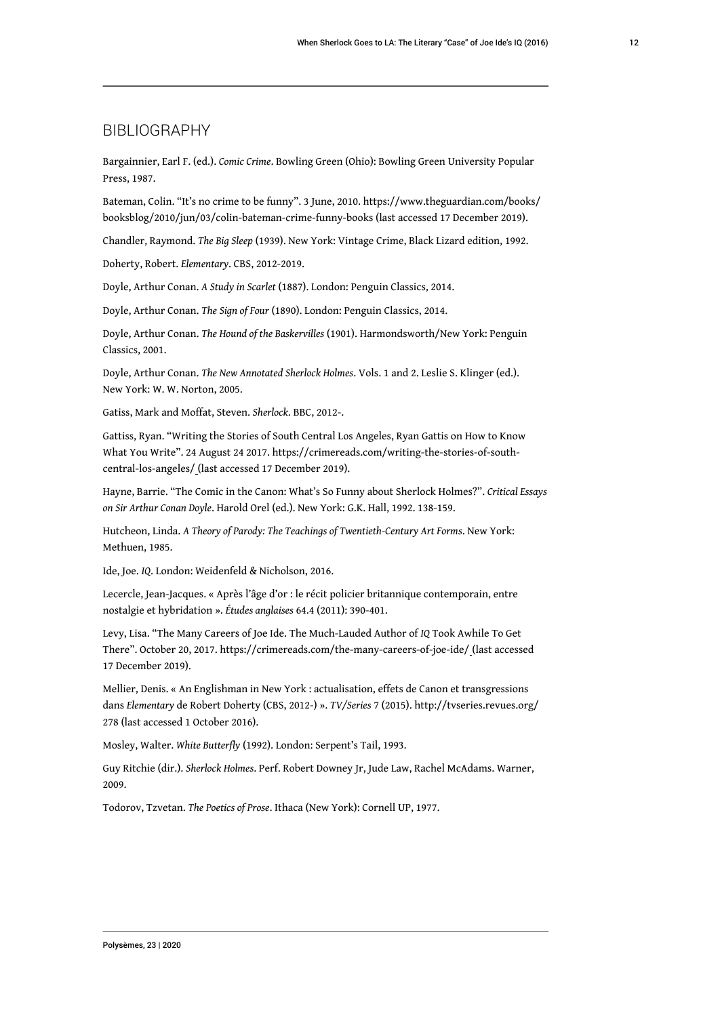### BIBLIOGRAPHY

Bargainnier, Earl F. (ed.). *Comic Crime*. Bowling Green (Ohio): Bowling Green University Popular Press, 1987.

Bateman, Colin. "It's no crime to be funny". 3 June, 2010. https://www.theguardian.com/books/ booksblog/2010/jun/03/colin-bateman-crime-funny-books (last accessed 17 December 2019).

Chandler, Raymond. *The Big Sleep* (1939). New York: Vintage Crime, Black Lizard edition, 1992.

Doherty, Robert. *Elementary*. CBS, 2012-2019.

Doyle, Arthur Conan. *A Study in Scarlet* (1887). London: Penguin Classics, 2014.

Doyle, Arthur Conan. *The Sign of Four* (1890). London: Penguin Classics, 2014.

Doyle, Arthur Conan. *The Hound of the Baskervilles* (1901). Harmondsworth/New York: Penguin Classics, 2001.

Doyle, Arthur Conan. *The New Annotated Sherlock Holmes*. Vols. 1 and 2. Leslie S. Klinger (ed.). New York: W. W. Norton, 2005.

Gatiss, Mark and Moffat, Steven. *Sherlock*. BBC, 2012-.

Gattiss, Ryan. "Writing the Stories of South Central Los Angeles, Ryan Gattis on How to Know What You Write". 24 August 24 2017. https://crimereads.com/writing-the-stories-of-southcentral-los-angeles/ (last accessed 17 December 2019).

Hayne, Barrie. "The Comic in the Canon: What's So Funny about Sherlock Holmes?". *Critical Essays on Sir Arthur Conan Doyle*. Harold Orel (ed.). New York: G.K. Hall, 1992. 138-159.

Hutcheon, Linda. *A Theory of Parody: The Teachings of Twentieth-Century Art Forms*. New York: Methuen, 1985.

Ide, Joe. *IQ*. London: Weidenfeld & Nicholson, 2016.

Lecercle, Jean-Jacques. « Après l'âge d'or : le récit policier britannique contemporain, entre nostalgie et hybridation ». *Études anglaises* 64.4 (2011): 390-401.

Levy, Lisa. "The Many Careers of Joe Ide. The Much-Lauded Author of *IQ* Took Awhile To Get There". October 20, 2017. https://crimereads.com/the-many-careers-of-joe-ide/ (last accessed 17 December 2019).

Mellier, Denis. « An Englishman in New York : actualisation, effets de Canon et transgressions dans *Elementary* de Robert Doherty (CBS, 2012-) ». *TV/Series* 7 (2015). http://tvseries.revues.org/ 278 (last accessed 1 October 2016).

Mosley, Walter. *White Butterfly* (1992). London: Serpent's Tail, 1993.

Guy Ritchie (dir.). *Sherlock Holmes*. Perf. Robert Downey Jr, Jude Law, Rachel McAdams. Warner, 2009.

Todorov, Tzvetan. *The Poetics of Prose*. Ithaca (New York): Cornell UP, 1977.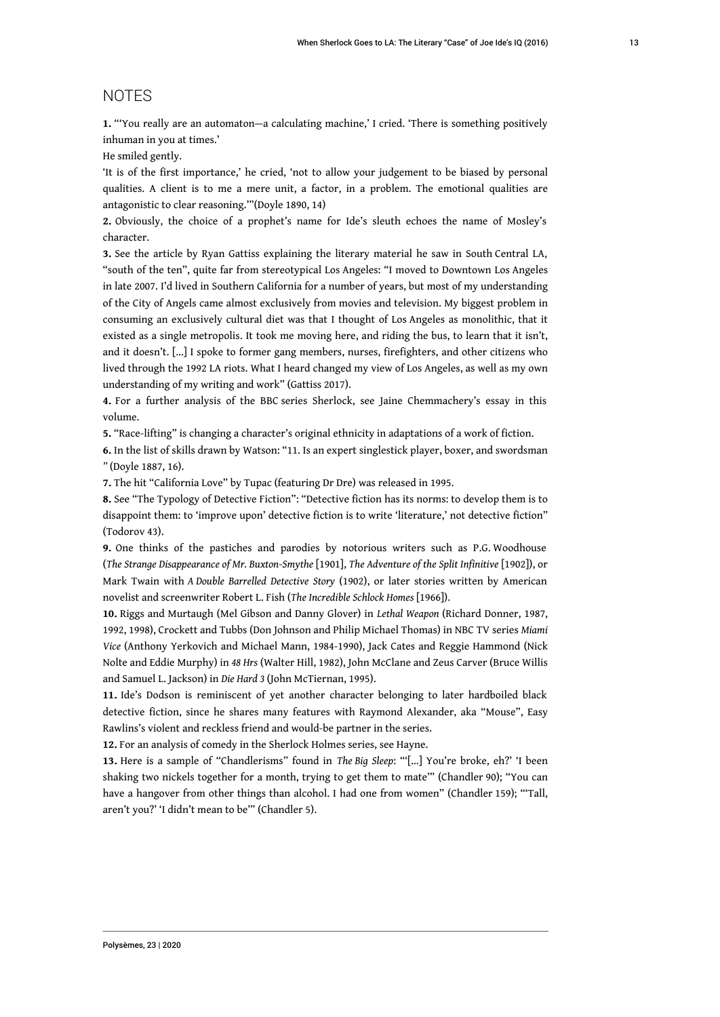### NOTES

**1.** "'You really are an automaton—a calculating machine,' I cried. 'There is something positively inhuman in you at times.'

He smiled gently.

'It is of the first importance,' he cried, 'not to allow your judgement to be biased by personal qualities. A client is to me a mere unit, a factor, in a problem. The emotional qualities are antagonistic to clear reasoning.'"(Doyle 1890, 14)

**2.** Obviously, the choice of a prophet's name for Ide's sleuth echoes the name of Mosley's character.

**3.** See the article by Ryan Gattiss explaining the literary material he saw in South Central LA, "south of the ten", quite far from stereotypical Los Angeles: "I moved to Downtown Los Angeles in late 2007. I'd lived in Southern California for a number of years, but most of my understanding of the City of Angels came almost exclusively from movies and television. My biggest problem in consuming an exclusively cultural diet was that I thought of Los Angeles as monolithic, that it existed as a single metropolis. It took me moving here, and riding the bus, to learn that it isn't, and it doesn't. […] I spoke to former gang members, nurses, firefighters, and other citizens who lived through the 1992 LA riots. What I heard changed my view of Los Angeles, as well as my own understanding of my writing and work" (Gattiss 2017).

**4.** For a further analysis of the BBC series Sherlock, see Jaine Chemmachery's essay in this volume.

**5.** "Race-lifting" is changing a character's original ethnicity in adaptations of a work of fiction.

**6.** In the list of skills drawn by Watson: "11. Is an expert singlestick player, boxer, and swordsman *"* (Doyle 1887, 16).

**7.** The hit "California Love" by Tupac (featuring Dr Dre) was released in 1995.

**8.** See "The Typology of Detective Fiction": "Detective fiction has its norms: to develop them is to disappoint them: to 'improve upon' detective fiction is to write 'literature,' not detective fiction" (Todorov 43).

**9.** One thinks of the pastiches and parodies by notorious writers such as P.G. Woodhouse (*The Strange Disappearance of Mr. Buxton-Smythe* [1901], *The Adventure of the Split Infinitive* [1902]), or Mark Twain with *A Double Barrelled Detective Story* (1902), or later stories written by American novelist and screenwriter Robert L. Fish (*The Incredible Schlock Homes* [1966]).

**10.** Riggs and Murtaugh (Mel Gibson and Danny Glover) in *Lethal Weapon* (Richard Donner, 1987, 1992, 1998), Crockett and Tubbs (Don Johnson and Philip Michael Thomas) in NBC TV series *Miami Vice* (Anthony Yerkovich and Michael Mann, 1984-1990), Jack Cates and Reggie Hammond (Nick Nolte and Eddie Murphy) in *48 Hrs* (Walter Hill, 1982), John McClane and Zeus Carver (Bruce Willis and Samuel L. Jackson) in *Die Hard 3* (John McTiernan, 1995).

**11.** Ide's Dodson is reminiscent of yet another character belonging to later hardboiled black detective fiction, since he shares many features with Raymond Alexander, aka "Mouse", Easy Rawlins's violent and reckless friend and would-be partner in the series.

**12.** For an analysis of comedy in the Sherlock Holmes series, see Hayne.

**13.** Here is a sample of "Chandlerisms" found in *The Big Sleep*: "'[…] You're broke, eh?' 'I been shaking two nickels together for a month, trying to get them to mate'" (Chandler 90); "You can have a hangover from other things than alcohol. I had one from women" (Chandler 159); "'Tall, aren't you?' 'I didn't mean to be'" (Chandler 5).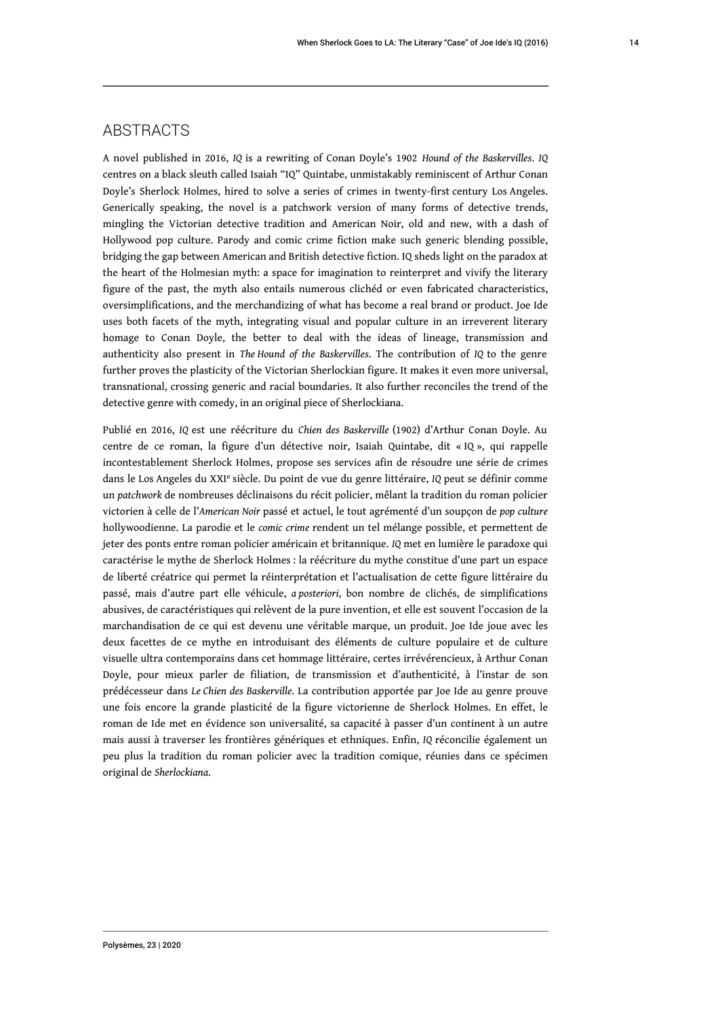### **ABSTRACTS**

A novel published in 2016, *IQ* is a rewriting of Conan Doyle's 1902 *Hound of the Baskervilles*. *IQ* centres on a black sleuth called Isaiah "IQ" Quintabe, unmistakably reminiscent of Arthur Conan Doyle's Sherlock Holmes, hired to solve a series of crimes in twenty-first century Los Angeles. Generically speaking, the novel is a patchwork version of many forms of detective trends, mingling the Victorian detective tradition and American Noir, old and new, with a dash of Hollywood pop culture. Parody and comic crime fiction make such generic blending possible, bridging the gap between American and British detective fiction. IQ sheds light on the paradox at the heart of the Holmesian myth: a space for imagination to reinterpret and vivify the literary figure of the past, the myth also entails numerous clichéd or even fabricated characteristics, oversimplifications, and the merchandizing of what has become a real brand or product. Joe Ide uses both facets of the myth, integrating visual and popular culture in an irreverent literary homage to Conan Doyle, the better to deal with the ideas of lineage, transmission and authenticity also present in *The Hound of the Baskervilles*. The contribution of *IQ* to the genre further proves the plasticity of the Victorian Sherlockian figure. It makes it even more universal, transnational, crossing generic and racial boundaries. It also further reconciles the trend of the detective genre with comedy, in an original piece of Sherlockiana.

Publié en 2016, *IQ* est une réécriture du *Chien des Baskerville* (1902) d'Arthur Conan Doyle. Au centre de ce roman, la figure d'un détective noir, Isaiah Quintabe, dit « IQ », qui rappelle incontestablement Sherlock Holmes, propose ses services afin de résoudre une série de crimes dans le Los Angeles du XXI<sup>e</sup> siècle. Du point de vue du genre littéraire, *IQ* peut se définir comme un *patchwork* de nombreuses déclinaisons du récit policier, mêlant la tradition du roman policier victorien à celle de l'*American Noir* passé et actuel, le tout agrémenté d'un soupçon de *pop culture* hollywoodienne. La parodie et le *comic crime* rendent un tel mélange possible, et permettent de jeter des ponts entre roman policier américain et britannique. *IQ* met en lumière le paradoxe qui caractérise le mythe de Sherlock Holmes : la réécriture du mythe constitue d'une part un espace de liberté créatrice qui permet la réinterprétation et l'actualisation de cette figure littéraire du passé, mais d'autre part elle véhicule, *a posteriori*, bon nombre de clichés, de simplifications abusives, de caractéristiques qui relèvent de la pure invention, et elle est souvent l'occasion de la marchandisation de ce qui est devenu une véritable marque, un produit. Joe Ide joue avec les deux facettes de ce mythe en introduisant des éléments de culture populaire et de culture visuelle ultra contemporains dans cet hommage littéraire, certes irrévérencieux, à Arthur Conan Doyle, pour mieux parler de filiation, de transmission et d'authenticité, à l'instar de son prédécesseur dans *Le Chien des Baskerville*. La contribution apportée par Joe Ide au genre prouve une fois encore la grande plasticité de la figure victorienne de Sherlock Holmes. En effet, le roman de Ide met en évidence son universalité, sa capacité à passer d'un continent à un autre mais aussi à traverser les frontières génériques et ethniques. Enfin, *IQ* réconcilie également un peu plus la tradition du roman policier avec la tradition comique, réunies dans ce spécimen original de *Sherlockiana*.